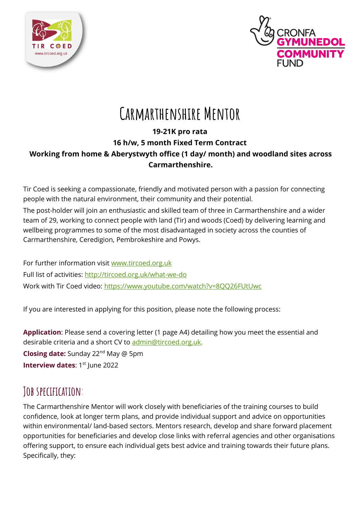



# **Carmarthenshire Mentor**

### **19-21K pro rata**

### **16 h/w, 5 month Fixed Term Contract**

### **Working from home & Aberystwyth office (1 day/ month) and woodland sites across Carmarthenshire.**

Tir Coed is seeking a compassionate, friendly and motivated person with a passion for connecting people with the natural environment, their community and their potential.

The post-holder will join an enthusiastic and skilled team of three in Carmarthenshire and a wider team of 29, working to connect people with land (Tir) and woods (Coed) by delivering learning and wellbeing programmes to some of the most disadvantaged in society across the counties of Carmarthenshire, Ceredigion, Pembrokeshire and Powys.

For further information visit [www.tircoed.org.uk](http://www.tircoed.org.uk/) Full list of activities:<http://tircoed.org.uk/what-we-do> Work with Tir Coed video:<https://www.youtube.com/watch?v=8QQ26FUtUwc>

If you are interested in applying for this position, please note the following process:

**Application**: Please send a covering letter (1 page A4) detailing how you meet the essential and desirable criteria and a short CV to [admin@tircoed.org.uk,](mailto:admin@tircoed.org.uk)

**Closing date:** Sunday 22<sup>nd</sup> May @ 5pm **Interview dates: 1st June 2022** 

## **Job specification**:

The Carmarthenshire Mentor will work closely with beneficiaries of the training courses to build confidence, look at longer term plans, and provide individual support and advice on opportunities within environmental/ land-based sectors. Mentors research, develop and share forward placement opportunities for beneficiaries and develop close links with referral agencies and other organisations offering support, to ensure each individual gets best advice and training towards their future plans. Specifically, they: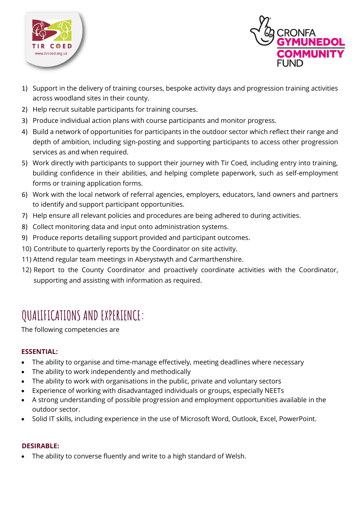



- 1) Support in the delivery of training courses, bespoke activity days and progression training activities across woodland sites in their county.
- 2) Help recruit suitable participants for training courses.
- 3) Produce individual action plans with course participants and monitor progress.
- 4) Build a network of opportunities for participants in the outdoor sector which reflect their range and depth of ambition, including sign-posting and supporting participants to access other progression services as and when required.
- 5) Work directly with participants to support their journey with Tir Coed, including entry into training, building confidence in their abilities, and helping complete paperwork, such as self-employment forms or training application forms.
- 6) Work with the local network of referral agencies, employers, educators, land owners and partners to identify and support participant opportunities.
- 7) Help ensure all relevant policies and procedures are being adhered to during activities.
- 8) Collect monitoring data and input onto administration systems.
- 9) Produce reports detailing support provided and participant outcomes.
- 10) Contribute to quarterly reports by the Coordinator on site activity.
- 11) Attend regular team meetings in Aberystwyth and Carmarthenshire.
- 12) Report to the County Coordinator and proactively coordinate activities with the Coordinator, supporting and assisting with information as required.

## **QUALIFICATIONS AND EXPERIENCE:**

The following competencies are

#### **ESSENTIAL:**

- The ability to organise and time-manage effectively, meeting deadlines where necessary
- The ability to work independently and methodically
- The ability to work with organisations in the public, private and voluntary sectors
- Experience of working with disadvantaged individuals or groups, especially NEETs
- A strong understanding of possible progression and employment opportunities available in the outdoor sector.
- Solid IT skills, including experience in the use of Microsoft Word, Outlook, Excel, PowerPoint.

#### **DESIRABLE:**

The ability to converse fluently and write to a high standard of Welsh.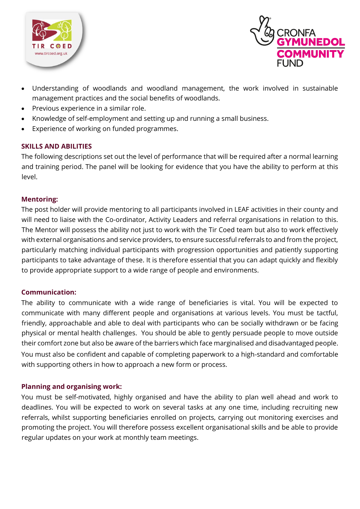



- Understanding of woodlands and woodland management, the work involved in sustainable management practices and the social benefits of woodlands.
- Previous experience in a similar role.
- Knowledge of self-employment and setting up and running a small business.
- Experience of working on funded programmes.

#### **SKILLS AND ABILITIES**

The following descriptions set out the level of performance that will be required after a normal learning and training period. The panel will be looking for evidence that you have the ability to perform at this level.

#### **Mentoring:**

The post holder will provide mentoring to all participants involved in LEAF activities in their county and will need to liaise with the Co-ordinator, Activity Leaders and referral organisations in relation to this. The Mentor will possess the ability not just to work with the Tir Coed team but also to work effectively with external organisations and service providers, to ensure successful referrals to and from the project, particularly matching individual participants with progression opportunities and patiently supporting participants to take advantage of these. It is therefore essential that you can adapt quickly and flexibly to provide appropriate support to a wide range of people and environments.

#### **Communication:**

The ability to communicate with a wide range of beneficiaries is vital. You will be expected to communicate with many different people and organisations at various levels. You must be tactful, friendly, approachable and able to deal with participants who can be socially withdrawn or be facing physical or mental health challenges. You should be able to gently persuade people to move outside their comfort zone but also be aware of the barriers which face marginalised and disadvantaged people. You must also be confident and capable of completing paperwork to a high-standard and comfortable with supporting others in how to approach a new form or process.

#### **Planning and organising work:**

You must be self-motivated, highly organised and have the ability to plan well ahead and work to deadlines. You will be expected to work on several tasks at any one time, including recruiting new referrals, whilst supporting beneficiaries enrolled on projects, carrying out monitoring exercises and promoting the project. You will therefore possess excellent organisational skills and be able to provide regular updates on your work at monthly team meetings.